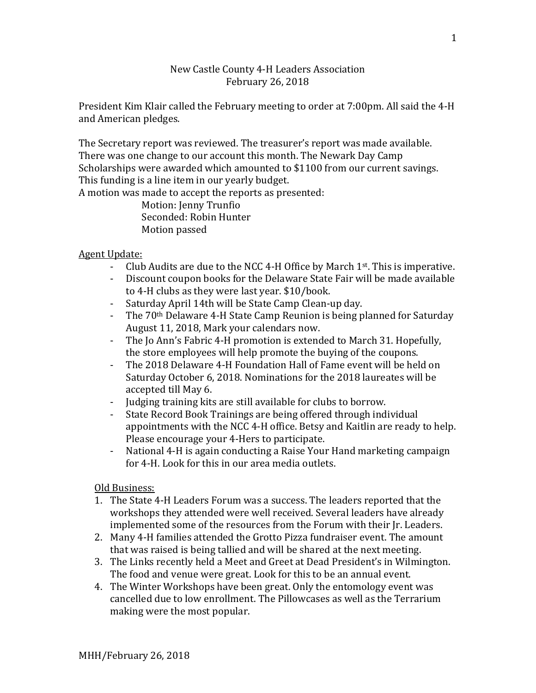# New Castle County 4-H Leaders Association February 26, 2018

President Kim Klair called the February meeting to order at 7:00pm. All said the 4-H and American pledges.

The Secretary report was reviewed. The treasurer's report was made available. There was one change to our account this month. The Newark Day Camp Scholarships were awarded which amounted to \$1100 from our current savings. This funding is a line item in our yearly budget.

A motion was made to accept the reports as presented:

Motion: Jenny Trunfio Seconded: Robin Hunter Motion passed

# Agent Update:<br>Club

- Club Audits are due to the NCC 4-H Office by March 1<sup>st</sup>. This is imperative.<br>- Discount coupon books for the Delaware State Fair will be made available
- Discount coupon books for the Delaware State Fair will be made available to 4-H clubs as they were last year. \$10/book.
- Saturday April 14th will be State Camp Clean-up day.<br>- The 70<sup>th</sup> Delaware 4-H State Camp Reunion is being p
- The 70<sup>th</sup> Delaware 4-H State Camp Reunion is being planned for Saturday August 11, 2018, Mark your calendars now.
- The Jo Ann's Fabric 4-H promotion is extended to March 31. Hopefully, the store employees will help promote the buying of the coupons.
- The 2018 Delaware 4-H Foundation Hall of Fame event will be held on Saturday October 6, 2018. Nominations for the 2018 laureates will be accepted till May 6.
- Judging training kits are still available for clubs to borrow.
- State Record Book Trainings are being offered through individual appointments with the NCC 4-H office. Betsy and Kaitlin are ready to help. Please encourage your 4-Hers to participate.
- National 4-H is again conducting a Raise Your Hand marketing campaign for 4-H. Look for this in our area media outlets.

# Old Business:

- 1. The State 4-H Leaders Forum was a success. The leaders reported that the workshops they attended were well received. Several leaders have already implemented some of the resources from the Forum with their Jr. Leaders.
- 2. Many 4-H families attended the Grotto Pizza fundraiser event. The amount that was raised is being tallied and will be shared at the next meeting.
- 3. The Links recently held a Meet and Greet at Dead President's in Wilmington. The food and venue were great. Look for this to be an annual event.
- 4. The Winter Workshops have been great. Only the entomology event was cancelled due to low enrollment. The Pillowcases as well as the Terrarium making were the most popular.